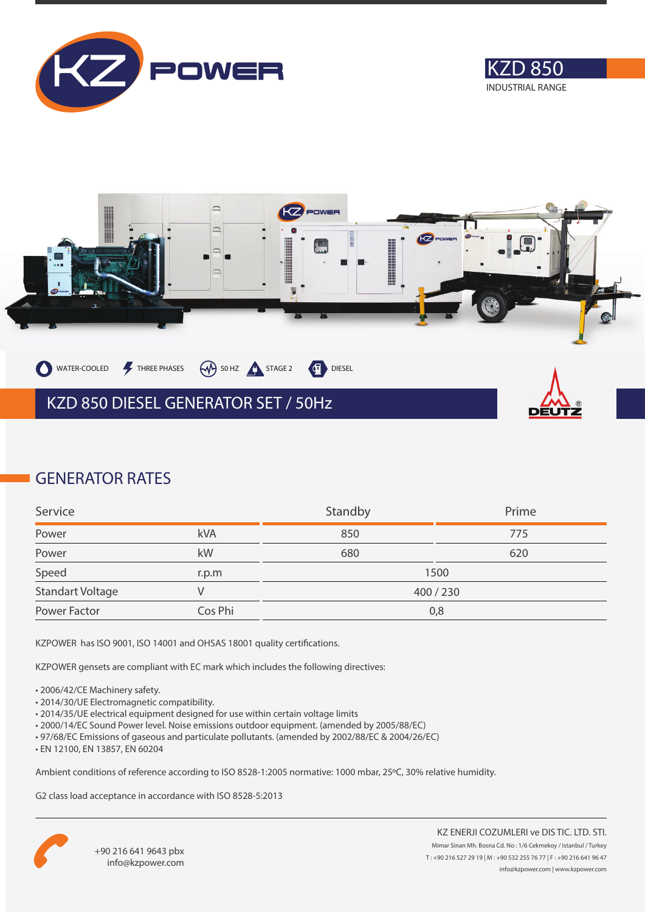





### **GENERATOR RATES**

| Service          |         | Standby | Prime |
|------------------|---------|---------|-------|
| Power            | kVA     | 850     | 775   |
| Power            | kW      | 680     | 620   |
| Speed            | r.p.m   |         | 1500  |
| Standart Voltage |         | 400/230 |       |
| Power Factor     | Cos Phi | 0,8     |       |

KZPOWER has ISO 9001, ISO 14001 and OHSAS 18001 quality certifications.

KZPOWER gensets are compliant with EC mark which includes the following directives:

- 2006/42/CE Machinery safety.
- 2014/30/UE Electromagnetic compatibility.
- 2014/35/UE electrical equipment designed for use within certain voltage limits
- 2000/14/EC Sound Power level. Noise emissions outdoor equipment. (amended by 2005/88/EC)
- 97/68/EC Emissions of gaseous and particulate pollutants. (amended by 2002/88/EC & 2004/26/EC)
- EN 12100, EN 13857, EN 60204

Ambient conditions of reference according to ISO 8528-1:2005 normative: 1000 mbar, 25ºC, 30% relative humidity.

G2 class load acceptance in accordance with ISO 8528-5:2013

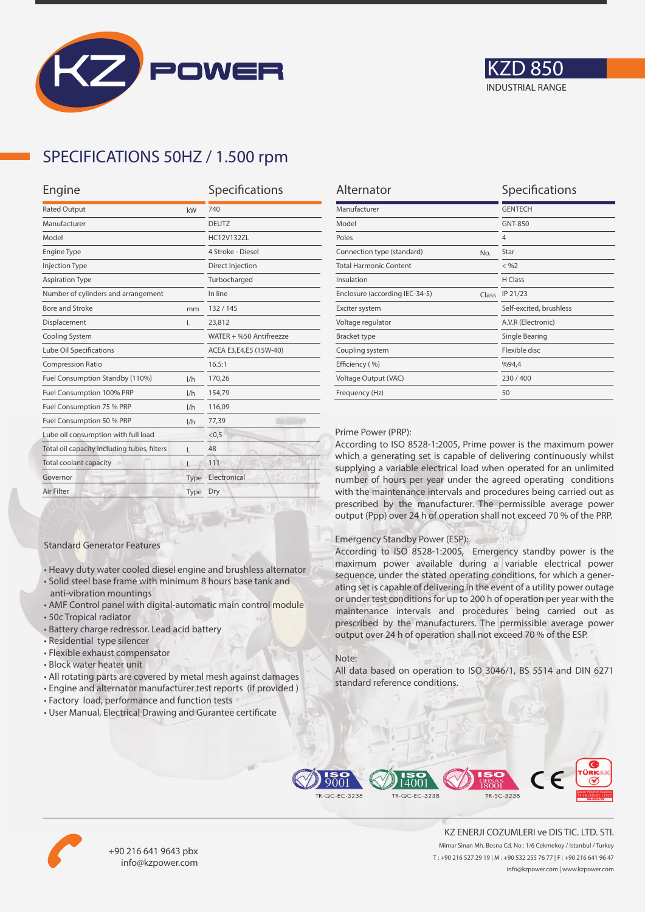



## **SPECIFICATIONS 50HZ / 1.500 rpm**

| Engine                                      |      | Specifications          |  |
|---------------------------------------------|------|-------------------------|--|
| <b>Rated Output</b><br>kW                   |      | 740                     |  |
| Manufacturer                                |      | <b>DEUTZ</b>            |  |
| Model                                       |      | <b>HC12V132ZL</b>       |  |
| <b>Engine Type</b>                          |      | 4 Stroke - Diesel       |  |
| <b>Injection Type</b>                       |      | Direct Injection        |  |
| <b>Aspiration Type</b>                      |      | Turbocharged            |  |
| Number of cylinders and arrangement         |      | In line                 |  |
| Bore and Stroke                             | mm   | 132/145                 |  |
| Displacement                                | L    | 23,812                  |  |
| Cooling System                              |      | WATER + %50 Antifreezze |  |
| Lube Oil Specifications                     |      | ACEA E3,E4,E5 (15W-40)  |  |
| <b>Compression Ratio</b>                    |      | 16.5:1                  |  |
| Fuel Consumption Standby (110%)             | 1/h  | 170,26                  |  |
| Fuel Consumption 100% PRP                   | 1/h  | 154,79                  |  |
| Fuel Consumption 75 % PRP                   | 1/h  | 116,09                  |  |
| Fuel Consumption 50 % PRP<br>1/h            |      | 77,39                   |  |
| Lube oil consumption with full load         |      | < 0, 5                  |  |
| Total oil capacity including tubes, filters | г    | 48                      |  |
| <b>Total coolant capacity</b>               |      | 111                     |  |
| Governor                                    | Type | Electronical            |  |
| Air Filter                                  | Type | Dry                     |  |
|                                             |      |                         |  |

| Alternator                              | Specifications          |
|-----------------------------------------|-------------------------|
| Manufacturer                            | <b>GENTECH</b>          |
| Model                                   | GNT-850                 |
| Poles                                   | $\overline{4}$          |
| Connection type (standard)<br>No.       | Star                    |
| <b>Total Harmonic Content</b>           | $<$ %2                  |
| Insulation                              | H Class                 |
| Enclosure (according IEC-34-5)<br>Class | IP 21/23                |
| Exciter system                          | Self-excited, brushless |
| Voltage regulator                       | A.V.R (Electronic)      |
| <b>Bracket type</b>                     | Single Bearing          |
| Coupling system                         | Flexible disc           |
| Efficiency (%)                          | %94.4                   |
| Voltage Output (VAC)                    | 230/400                 |
| Frequency (Hz)                          | 50                      |

#### Prime Power (PRP):

According to ISO 8528-1:2005, Prime power is the maximum power which a generating set is capable of delivering continuously whilst supplying a variable electrical load when operated for an unlimited number of hours per year under the agreed operating conditions with the maintenance intervals and procedures being carried out as prescribed by the manufacturer. The permissible average power output (Ppp) over 24 h of operation shall not exceed 70 % of the PRP.

#### Emergency Standby Power (ESP):

According to ISO 8528-1:2005, Emergency standby power is the maximum power available during a variable electrical power sequence, under the stated operating conditions, for which a generating set is capable of delivering in the event of a utility power outage or under test conditions for up to 200 h of operation per year with the maintenance intervals and procedures being carried out as prescribed by the manufacturers. The permissible average power output over 24 h of operation shall not exceed 70 % of the ESP.

#### Note:

All data based on operation to ISO 3046/1, BS 5514 and DIN 6271 standard reference conditions.



• All rotating parts are covered by metal mesh against damages • Engine and alternator manufacturer test reports (if provided )

• Heavy duty water cooled diesel engine and brushless alternator • Solid steel base frame with minimum 8 hours base tank and

• AMF Control panel with digital-automatic main control module

Standard Generator Features

anti-vibration mountings

• Residential type silencer • Flexible exhaust compensator • Block water heater unit

• Battery charge redressor. Lead acid battery

• 50c Tropical radiator

• User Manual, Electrical Drawing and Gurantee certificate





+90 216 641 9643 pbx info@kzpower.com

KZ ENERJI COZUMLERI ve DIS TIC. LTD. STI. Mimar Sinan Mh. Bosna Cd. No : 1/6 Cekmekoy / Istanbul / Turkey T : +90 216 527 29 19 | M : +90 532 255 76 77 | F : +90 216 641 96 47 info@kzpower.com | www.kzpower.com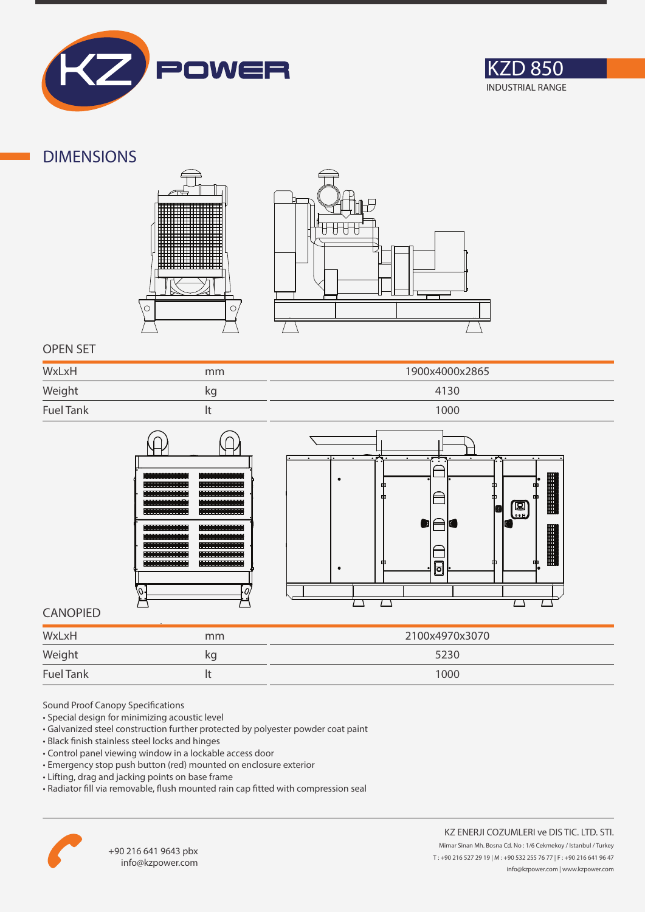



### **DIMENSIONS**





### **OPEN SET**

| WxLxH<br>$\overbrace{\hspace{25mm}}^{}$ | mm | 1900x4000x2865 |
|-----------------------------------------|----|----------------|
| Weight                                  | kg | 4130           |
| <b>Fuel Tank</b>                        |    | 1000           |





### **CANOPIED**

| WxLxH            | mm | 2100x4970x3070 |
|------------------|----|----------------|
| Weight           | kg | 5230           |
| <b>Fuel Tank</b> |    | 1000           |

Sound Proof Canopy Specifications

- Special design for minimizing acoustic level
- Galvanized steel construction further protected by polyester powder coat paint
- Black finish stainless steel locks and hinges
- Control panel viewing window in a lockable access door
- Emergency stop push button (red) mounted on enclosure exterior
- Lifting, drag and jacking points on base frame
- Radiator fill via removable, flush mounted rain cap fitted with compression seal